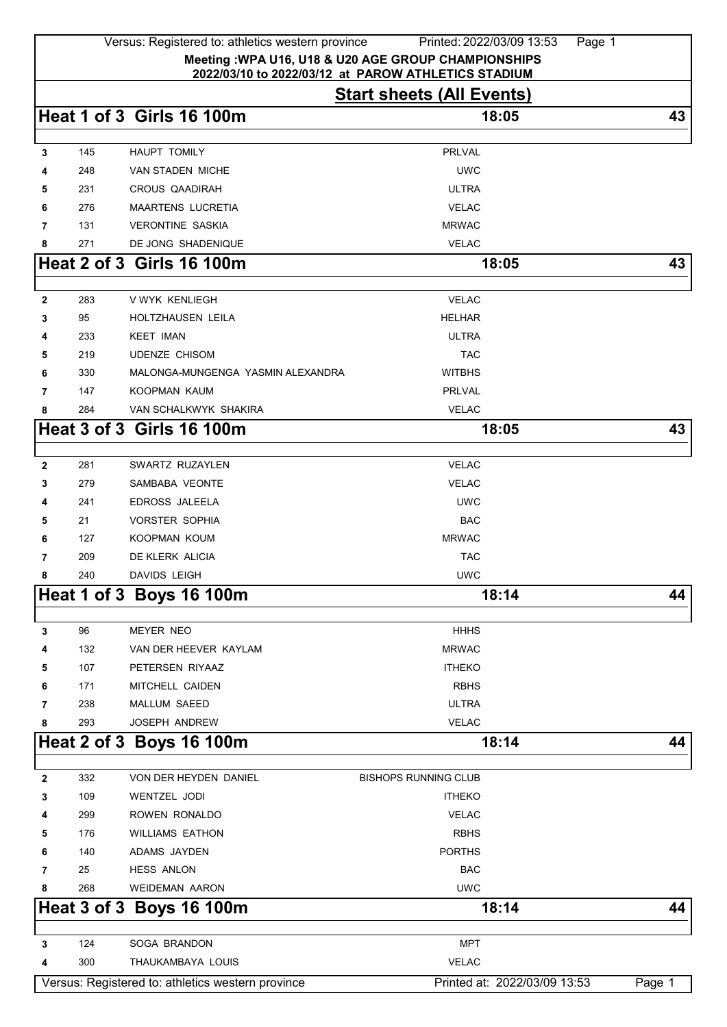|             |            | Versus: Registered to: athletics western province | Printed: 2022/03/09 13:53<br>Page 1                                                     |        |
|-------------|------------|---------------------------------------------------|-----------------------------------------------------------------------------------------|--------|
|             |            |                                                   | Meeting: WPA U16, U18 & U20 AGE GROUP CHAMPIONSHIPS                                     |        |
|             |            |                                                   | 2022/03/10 to 2022/03/12 at PAROW ATHLETICS STADIUM<br><b>Start sheets (All Events)</b> |        |
|             |            | <b>Heat 1 of 3 Girls 16 100m</b>                  | 18:05                                                                                   | 43     |
|             |            |                                                   |                                                                                         |        |
| 3           | 145        | <b>HAUPT TOMILY</b>                               | PRLVAL                                                                                  |        |
| 4           | 248        | VAN STADEN MICHE                                  | <b>UWC</b>                                                                              |        |
| 5           | 231        | <b>CROUS QAADIRAH</b>                             | <b>ULTRA</b>                                                                            |        |
| 6           | 276        | <b>MAARTENS LUCRETIA</b>                          | <b>VELAC</b>                                                                            |        |
| 7           | 131        | <b>VERONTINE SASKIA</b>                           | <b>MRWAC</b>                                                                            |        |
| 8           | 271        | DE JONG SHADENIQUE                                | <b>VELAC</b>                                                                            |        |
|             |            | <b>Heat 2 of 3 Girls 16 100m</b>                  | 18:05                                                                                   | 43     |
| $\mathbf 2$ | 283        | V WYK KENLIEGH                                    | <b>VELAC</b>                                                                            |        |
| 3           | 95         | <b>HOLTZHAUSEN LEILA</b>                          | <b>HELHAR</b>                                                                           |        |
| 4           | 233        | <b>KEET IMAN</b>                                  | <b>ULTRA</b>                                                                            |        |
| 5           | 219        | <b>UDENZE CHISOM</b>                              | <b>TAC</b>                                                                              |        |
| 6           | 330        | MALONGA-MUNGENGA YASMIN ALEXANDRA                 | <b>WITBHS</b>                                                                           |        |
| 7           | 147        | KOOPMAN KAUM                                      | <b>PRLVAL</b>                                                                           |        |
| 8           | 284        | VAN SCHALKWYK SHAKIRA                             | <b>VELAC</b>                                                                            |        |
|             |            | <b>Heat 3 of 3 Girls 16 100m</b>                  | 18:05                                                                                   | 43     |
|             |            |                                                   |                                                                                         |        |
| $\mathbf 2$ | 281        | SWARTZ RUZAYLEN                                   | <b>VELAC</b>                                                                            |        |
| 3           | 279        | SAMBABA VEONTE                                    | <b>VELAC</b>                                                                            |        |
| 4           | 241        | <b>EDROSS JALEELA</b>                             | <b>UWC</b>                                                                              |        |
| 5           | 21         | <b>VORSTER SOPHIA</b>                             | <b>BAC</b>                                                                              |        |
| 6<br>7      | 127        | KOOPMAN KOUM<br>DE KLERK ALICIA                   | <b>MRWAC</b>                                                                            |        |
| 8           | 209<br>240 | DAVIDS LEIGH                                      | <b>TAC</b><br><b>UWC</b>                                                                |        |
|             |            | Heat 1 of 3 Boys 16 100m                          | 18:14                                                                                   | 44     |
|             |            |                                                   |                                                                                         |        |
| 3           | 96         | <b>MEYER NEO</b>                                  | <b>HHHS</b>                                                                             |        |
| 4           | 132        | VAN DER HEEVER KAYLAM                             | <b>MRWAC</b>                                                                            |        |
| 5           | 107        | PETERSEN RIYAAZ                                   | <b>ITHEKO</b>                                                                           |        |
| 6           | 171        | MITCHELL CAIDEN                                   | <b>RBHS</b>                                                                             |        |
| 7           | 238        | <b>MALLUM SAEED</b>                               | <b>ULTRA</b>                                                                            |        |
| 8           | 293        | <b>JOSEPH ANDREW</b>                              | <b>VELAC</b>                                                                            |        |
|             |            | Heat 2 of 3 Boys 16 100m                          | 18:14                                                                                   | 44     |
|             |            |                                                   |                                                                                         |        |
| 2           | 332<br>109 | VON DER HEYDEN DANIEL<br>WENTZEL JODI             | <b>BISHOPS RUNNING CLUB</b><br><b>ITHEKO</b>                                            |        |
| 3           | 299        | ROWEN RONALDO                                     | <b>VELAC</b>                                                                            |        |
| 4<br>5      | 176        | <b>WILLIAMS EATHON</b>                            | <b>RBHS</b>                                                                             |        |
| 6           | 140        | ADAMS JAYDEN                                      | <b>PORTHS</b>                                                                           |        |
| 7           | 25         | <b>HESS ANLON</b>                                 | <b>BAC</b>                                                                              |        |
| 8           | 268        | <b>WEIDEMAN AARON</b>                             | <b>UWC</b>                                                                              |        |
|             |            | Heat 3 of 3 Boys 16 100m                          | 18:14                                                                                   | 44     |
|             |            |                                                   |                                                                                         |        |
| 3           | 124        | SOGA BRANDON                                      | <b>MPT</b>                                                                              |        |
| 4           | 300        | THAUKAMBAYA LOUIS                                 | <b>VELAC</b>                                                                            |        |
|             |            | Versus: Registered to: athletics western province | Printed at: 2022/03/09 13:53                                                            | Page 1 |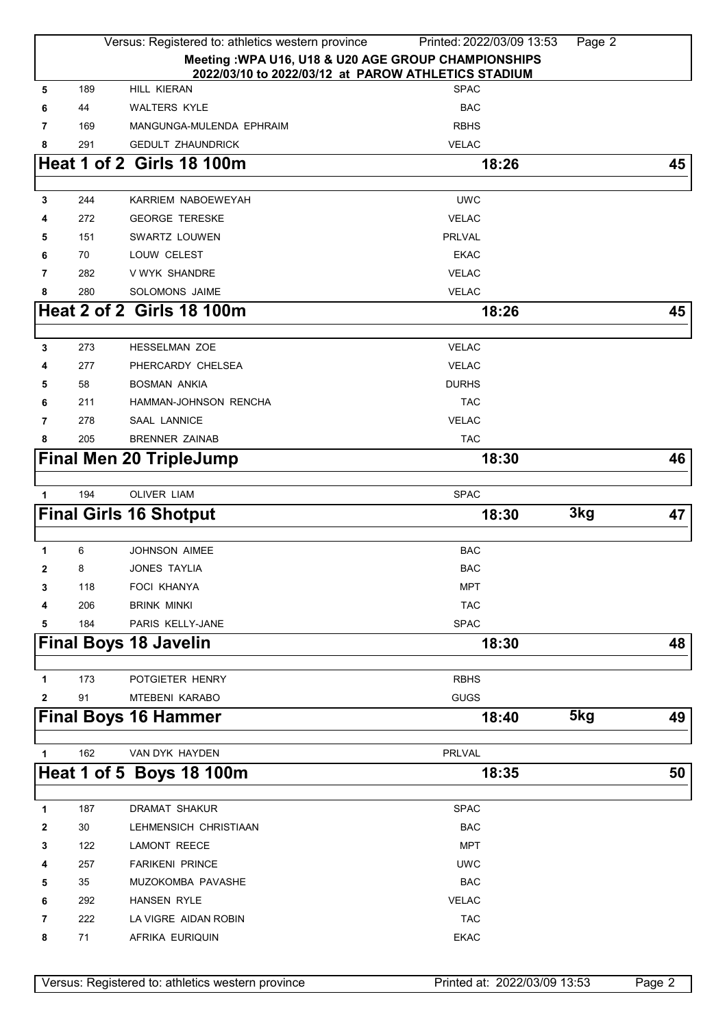|              |     | Versus: Registered to: athletics western province                         | Printed: 2022/03/09 13:53 | Page 2 |
|--------------|-----|---------------------------------------------------------------------------|---------------------------|--------|
|              |     | Meeting : WPA U16, U18 & U20 AGE GROUP CHAMPIONSHIPS                      |                           |        |
| 5            | 189 | 2022/03/10 to 2022/03/12 at PAROW ATHLETICS STADIUM<br><b>HILL KIERAN</b> | <b>SPAC</b>               |        |
| 6            | 44  | <b>WALTERS KYLE</b>                                                       | <b>BAC</b>                |        |
| 7            | 169 | MANGUNGA-MULENDA EPHRAIM                                                  | <b>RBHS</b>               |        |
| 8            | 291 | <b>GEDULT ZHAUNDRICK</b>                                                  | <b>VELAC</b>              |        |
|              |     | <b>Heat 1 of 2 Girls 18 100m</b>                                          | 18:26                     | 45     |
|              |     |                                                                           |                           |        |
| 3            | 244 | KARRIEM NABOEWEYAH                                                        | <b>UWC</b>                |        |
| 4            | 272 | <b>GEORGE TERESKE</b>                                                     | <b>VELAC</b>              |        |
| 5            | 151 | SWARTZ LOUWEN                                                             | <b>PRLVAL</b>             |        |
| 6            | 70  | LOUW CELEST                                                               | <b>EKAC</b>               |        |
| 7            | 282 | V WYK SHANDRE                                                             | <b>VELAC</b>              |        |
| 8            | 280 | <b>SOLOMONS JAIME</b>                                                     | <b>VELAC</b>              |        |
|              |     | <b>Heat 2 of 2 Girls 18 100m</b>                                          | 18:26                     | 45     |
|              |     |                                                                           |                           |        |
| 3            | 273 | <b>HESSELMAN ZOE</b>                                                      | <b>VELAC</b>              |        |
| 4            | 277 | PHERCARDY CHELSEA                                                         | <b>VELAC</b>              |        |
| 5            | 58  | <b>BOSMAN ANKIA</b>                                                       | <b>DURHS</b>              |        |
| 6            | 211 | <b>HAMMAN-JOHNSON RENCHA</b>                                              | <b>TAC</b>                |        |
| 7            | 278 | <b>SAAL LANNICE</b>                                                       | <b>VELAC</b>              |        |
| 8            | 205 | <b>BRENNER ZAINAB</b>                                                     | <b>TAC</b>                |        |
|              |     | <b>Final Men 20 TripleJump</b>                                            | 18:30                     | 46     |
|              |     |                                                                           |                           |        |
| 1            | 194 | <b>OLIVER LIAM</b>                                                        | <b>SPAC</b>               |        |
|              |     | <b>Final Girls 16 Shotput</b>                                             | 3kg<br>18:30              | 47     |
|              |     |                                                                           |                           |        |
| 1            | 6   | <b>JOHNSON AIMEE</b>                                                      | <b>BAC</b>                |        |
| $\mathbf{2}$ | 8   | JONES TAYLIA                                                              | <b>BAC</b>                |        |
| 3            | 118 | FOCI KHANYA                                                               | <b>MPT</b>                |        |
| 4            | 206 | <b>BRINK MINKI</b>                                                        | <b>TAC</b>                |        |
| 5            | 184 | PARIS KELLY-JANE                                                          | <b>SPAC</b>               |        |
|              |     | <b>Final Boys 18 Javelin</b>                                              | 18:30                     | 48     |
| 1            | 173 | POTGIETER HENRY                                                           | <b>RBHS</b>               |        |
| $\mathbf{2}$ | 91  | MTEBENI KARABO                                                            | <b>GUGS</b>               |        |
|              |     | <b>Final Boys 16 Hammer</b>                                               | 5kg<br>18:40              | 49     |
|              |     |                                                                           |                           |        |
| 1            | 162 | VAN DYK HAYDEN                                                            | PRLVAL                    |        |
|              |     | Heat 1 of 5 Boys 18 100m                                                  | 18:35                     | 50     |
| 1            | 187 | DRAMAT SHAKUR                                                             | <b>SPAC</b>               |        |
| 2            | 30  | LEHMENSICH CHRISTIAAN                                                     | <b>BAC</b>                |        |
| 3            | 122 | LAMONT REECE                                                              | <b>MPT</b>                |        |
| 4            | 257 | <b>FARIKENI PRINCE</b>                                                    | <b>UWC</b>                |        |
| 5            | 35  | MUZOKOMBA PAVASHE                                                         | <b>BAC</b>                |        |
| 6            | 292 | <b>HANSEN RYLE</b>                                                        | <b>VELAC</b>              |        |
| 7            | 222 | LA VIGRE AIDAN ROBIN                                                      | <b>TAC</b>                |        |
| 8            | 71  | AFRIKA EURIQUIN                                                           | <b>EKAC</b>               |        |
|              |     |                                                                           |                           |        |

Versus: Registered to: athletics western province Printed at: 2022/03/09 13:53 Page 2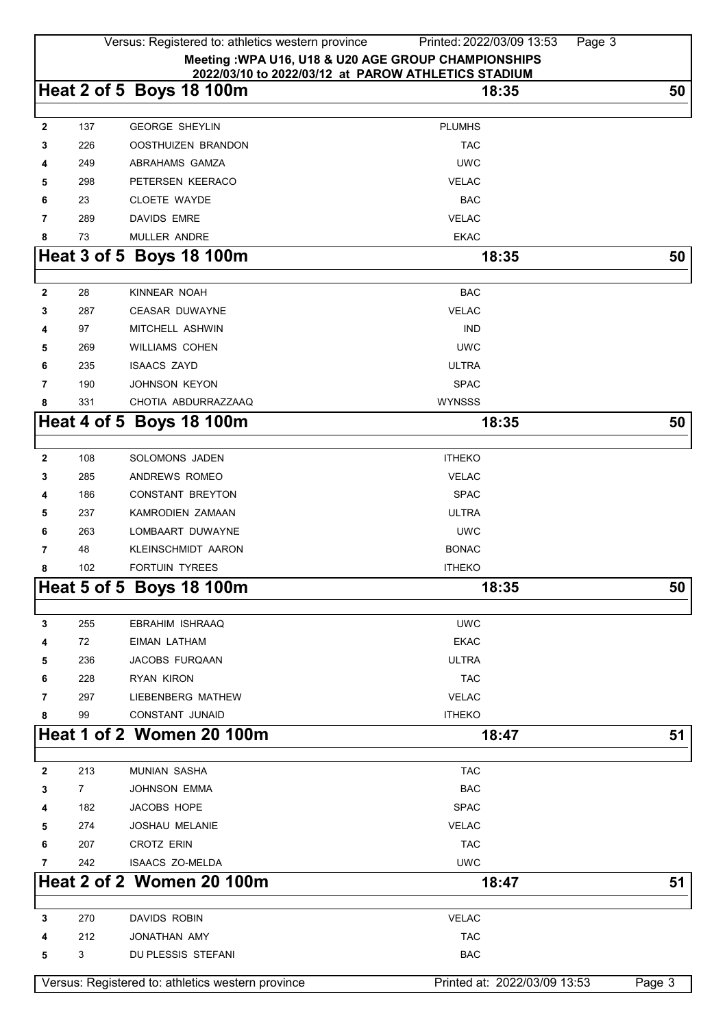|                                                                                                             |                | Versus: Registered to: athletics western province | Printed: 2022/03/09 13:53<br>Page 3 |        |  |
|-------------------------------------------------------------------------------------------------------------|----------------|---------------------------------------------------|-------------------------------------|--------|--|
| Meeting : WPA U16, U18 & U20 AGE GROUP CHAMPIONSHIPS<br>2022/03/10 to 2022/03/12 at PAROW ATHLETICS STADIUM |                |                                                   |                                     |        |  |
|                                                                                                             |                | Heat 2 of 5 Boys 18 100m                          | 18:35                               | 50     |  |
| $\mathbf{2}$                                                                                                | 137            | <b>GEORGE SHEYLIN</b>                             | <b>PLUMHS</b>                       |        |  |
| 3                                                                                                           | 226            | OOSTHUIZEN BRANDON                                | <b>TAC</b>                          |        |  |
| 4                                                                                                           | 249            | ABRAHAMS GAMZA                                    | <b>UWC</b>                          |        |  |
| 5                                                                                                           | 298            | PETERSEN KEERACO                                  | <b>VELAC</b>                        |        |  |
| 6                                                                                                           | 23             | <b>CLOETE WAYDE</b>                               | <b>BAC</b>                          |        |  |
| 7                                                                                                           | 289            | <b>DAVIDS EMRE</b>                                | <b>VELAC</b>                        |        |  |
| 8                                                                                                           | 73             | MULLER ANDRE                                      | <b>EKAC</b>                         |        |  |
|                                                                                                             |                | Heat 3 of 5 Boys 18 100m                          | 18:35                               | 50     |  |
|                                                                                                             |                |                                                   |                                     |        |  |
| $\mathbf{2}$                                                                                                | 28             | KINNEAR NOAH                                      | <b>BAC</b>                          |        |  |
| 3                                                                                                           | 287            | <b>CEASAR DUWAYNE</b>                             | <b>VELAC</b>                        |        |  |
| 4                                                                                                           | 97             | MITCHELL ASHWIN                                   | <b>IND</b>                          |        |  |
| 5                                                                                                           | 269            | <b>WILLIAMS COHEN</b>                             | <b>UWC</b>                          |        |  |
| 6                                                                                                           | 235            | <b>ISAACS ZAYD</b>                                | <b>ULTRA</b>                        |        |  |
| 7                                                                                                           | 190            | JOHNSON KEYON                                     | <b>SPAC</b>                         |        |  |
| 8                                                                                                           | 331            | CHOTIA ABDURRAZZAAQ                               | <b>WYNSSS</b>                       |        |  |
|                                                                                                             |                | Heat 4 of 5 Boys 18 100m                          | 18:35                               | 50     |  |
|                                                                                                             |                |                                                   |                                     |        |  |
| 2                                                                                                           | 108            | SOLOMONS JADEN                                    | <b>ITHEKO</b>                       |        |  |
| 3                                                                                                           | 285            | ANDREWS ROMEO                                     | <b>VELAC</b>                        |        |  |
| 4                                                                                                           | 186            | <b>CONSTANT BREYTON</b>                           | <b>SPAC</b>                         |        |  |
| 5                                                                                                           | 237            | KAMRODIEN ZAMAAN                                  | <b>ULTRA</b>                        |        |  |
| 6                                                                                                           | 263            | LOMBAART DUWAYNE                                  | <b>UWC</b>                          |        |  |
| 7                                                                                                           | 48             | <b>KLEINSCHMIDT AARON</b>                         | <b>BONAC</b>                        |        |  |
| 8                                                                                                           | 102            | <b>FORTUIN TYREES</b>                             | <b>ITHEKO</b>                       |        |  |
|                                                                                                             |                | Heat 5 of 5 Boys 18 100m                          | 18:35                               | 50     |  |
| 3                                                                                                           | 255            | <b>EBRAHIM ISHRAAQ</b>                            | <b>UWC</b>                          |        |  |
| 4                                                                                                           | 72             | EIMAN LATHAM                                      | <b>EKAC</b>                         |        |  |
| 5                                                                                                           | 236            | JACOBS FURQAAN                                    | <b>ULTRA</b>                        |        |  |
| 6                                                                                                           | 228            | <b>RYAN KIRON</b>                                 | <b>TAC</b>                          |        |  |
| 7                                                                                                           | 297            | LIEBENBERG MATHEW                                 | <b>VELAC</b>                        |        |  |
| 8                                                                                                           | 99             | <b>CONSTANT JUNAID</b>                            | <b>ITHEKO</b>                       |        |  |
|                                                                                                             |                | Heat 1 of 2 Women 20 100m                         | 18:47                               | 51     |  |
|                                                                                                             |                |                                                   |                                     |        |  |
| $\mathbf 2$                                                                                                 | 213            | <b>MUNIAN SASHA</b>                               | <b>TAC</b>                          |        |  |
| 3                                                                                                           | $\overline{7}$ | <b>JOHNSON EMMA</b>                               | <b>BAC</b>                          |        |  |
| 4                                                                                                           | 182            | JACOBS HOPE                                       | <b>SPAC</b>                         |        |  |
| 5                                                                                                           | 274            | <b>JOSHAU MELANIE</b>                             | <b>VELAC</b>                        |        |  |
| 6                                                                                                           | 207            | <b>CROTZ ERIN</b>                                 | <b>TAC</b>                          |        |  |
| 7                                                                                                           | 242            | <b>ISAACS ZO-MELDA</b>                            | <b>UWC</b>                          |        |  |
|                                                                                                             |                | <b>Heat 2 of 2 Women 20 100m</b>                  | 18:47                               | 51     |  |
|                                                                                                             |                |                                                   |                                     |        |  |
| 3                                                                                                           | 270            | DAVIDS ROBIN                                      | <b>VELAC</b>                        |        |  |
| 4                                                                                                           | 212            | JONATHAN AMY                                      | <b>TAC</b>                          |        |  |
| 5                                                                                                           | 3              | DU PLESSIS STEFANI                                | <b>BAC</b>                          |        |  |
|                                                                                                             |                | Versus: Registered to: athletics western province | Printed at: 2022/03/09 13:53        | Page 3 |  |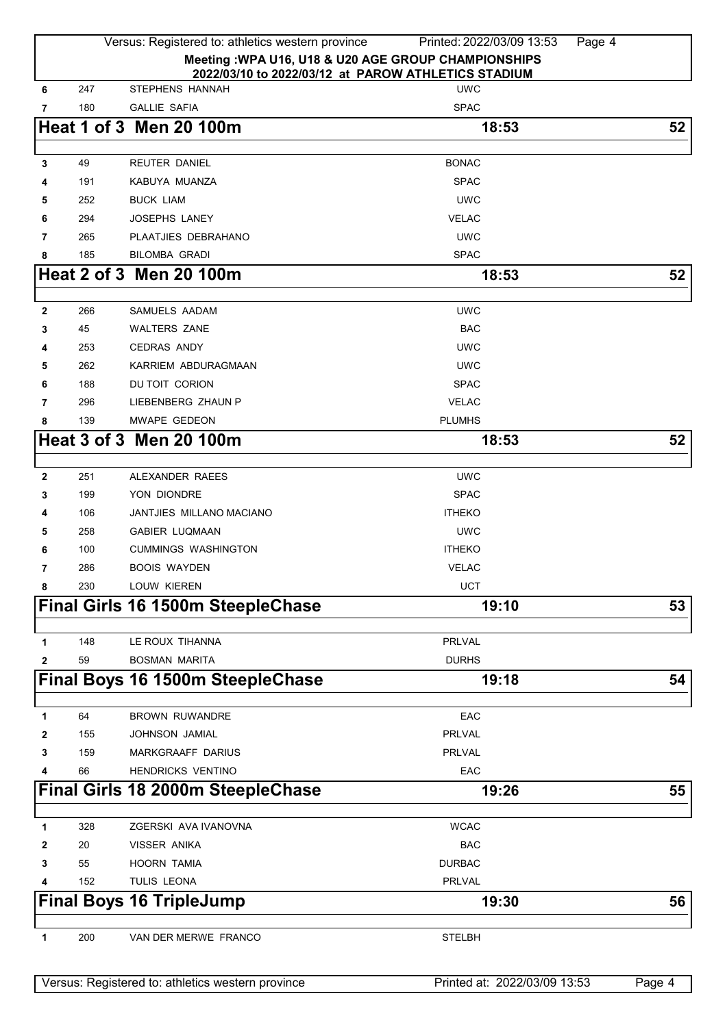|                     | Versus: Registered to: athletics western province                                                           | Printed: 2022/03/09 13:53<br>Page 4 |        |
|---------------------|-------------------------------------------------------------------------------------------------------------|-------------------------------------|--------|
|                     | Meeting : WPA U16, U18 & U20 AGE GROUP CHAMPIONSHIPS<br>2022/03/10 to 2022/03/12 at PAROW ATHLETICS STADIUM |                                     |        |
| 247<br>6            | STEPHENS HANNAH                                                                                             | <b>UWC</b>                          |        |
| 7<br>180            | <b>GALLIE SAFIA</b>                                                                                         | <b>SPAC</b>                         |        |
|                     | <b>Heat 1 of 3 Men 20 100m</b>                                                                              | 18:53                               | 52     |
| 49<br>3             | REUTER DANIEL                                                                                               | <b>BONAC</b>                        |        |
| 191<br>4            | KABUYA MUANZA                                                                                               | <b>SPAC</b>                         |        |
| 252<br>5            | <b>BUCK LIAM</b>                                                                                            | <b>UWC</b>                          |        |
| 294<br>6            | <b>JOSEPHS LANEY</b>                                                                                        | <b>VELAC</b>                        |        |
| 265<br>7            | PLAATJIES DEBRAHANO                                                                                         | <b>UWC</b>                          |        |
| 185<br>8            | <b>BILOMBA GRADI</b>                                                                                        | <b>SPAC</b>                         |        |
|                     | Heat 2 of 3 Men 20 100m                                                                                     | 18:53                               | 52     |
|                     |                                                                                                             |                                     |        |
| 266<br>$\mathbf{2}$ | SAMUELS AADAM                                                                                               | <b>UWC</b>                          |        |
| 45<br>3             | <b>WALTERS ZANE</b>                                                                                         | <b>BAC</b>                          |        |
| 253<br>4            | <b>CEDRAS ANDY</b>                                                                                          | <b>UWC</b>                          |        |
| 262<br>5            | KARRIEM ABDURAGMAAN                                                                                         | <b>UWC</b>                          |        |
| 188<br>6            | DU TOIT CORION                                                                                              | <b>SPAC</b>                         |        |
| 296<br>7            | LIEBENBERG ZHAUN P                                                                                          | <b>VELAC</b>                        |        |
| 8<br>139            | MWAPE GEDEON                                                                                                | <b>PLUMHS</b>                       |        |
|                     | Heat 3 of 3 Men 20 100m                                                                                     | 18:53                               | 52     |
| 251<br>$\mathbf{2}$ | ALEXANDER RAEES                                                                                             | <b>UWC</b>                          |        |
| 199<br>3            | YON DIONDRE                                                                                                 | <b>SPAC</b>                         |        |
| 106<br>4            | <b>JANTJIES MILLANO MACIANO</b>                                                                             | <b>ITHEKO</b>                       |        |
| 258<br>5            | <b>GABIER LUQMAAN</b>                                                                                       | <b>UWC</b>                          |        |
| 100<br>6            | <b>CUMMINGS WASHINGTON</b>                                                                                  | <b>ITHEKO</b>                       |        |
| 286<br>7            | <b>BOOIS WAYDEN</b>                                                                                         | <b>VELAC</b>                        |        |
| 8<br>230            | <b>LOUW KIEREN</b>                                                                                          | UCT                                 |        |
|                     | Final Girls 16 1500m SteepleChase                                                                           | 19:10                               | 53     |
|                     |                                                                                                             |                                     |        |
| 148<br>1            | LE ROUX TIHANNA                                                                                             | PRLVAL                              |        |
| 59<br>2             | <b>BOSMAN MARITA</b>                                                                                        | <b>DURHS</b>                        |        |
|                     | Final Boys 16 1500m SteepleChase                                                                            | 19:18                               | 54     |
| 64<br>1             | <b>BROWN RUWANDRE</b>                                                                                       | EAC                                 |        |
| 155<br>2            | <b>JOHNSON JAMIAL</b>                                                                                       | <b>PRLVAL</b>                       |        |
| 159<br>3            | MARKGRAAFF DARIUS                                                                                           | <b>PRLVAL</b>                       |        |
| 66<br>4             | <b>HENDRICKS VENTINO</b>                                                                                    | EAC                                 |        |
|                     | Final Girls 18 2000m SteepleChase                                                                           | 19:26                               | 55     |
|                     |                                                                                                             |                                     |        |
| 328<br>1            | ZGERSKI AVA IVANOVNA                                                                                        | <b>WCAC</b>                         |        |
| 20<br>2             | <b>VISSER ANIKA</b>                                                                                         | <b>BAC</b>                          |        |
| 55<br>3             | <b>HOORN TAMIA</b>                                                                                          | <b>DURBAC</b>                       |        |
| 152<br>4            | TULIS LEONA                                                                                                 | PRLVAL                              |        |
|                     | <b>Final Boys 16 TripleJump</b>                                                                             | 19:30                               | 56     |
| 200<br>1            | VAN DER MERWE FRANCO                                                                                        | <b>STELBH</b>                       |        |
|                     | Versus: Registered to: athletics western province                                                           | Printed at: 2022/03/09 13:53        | Page 4 |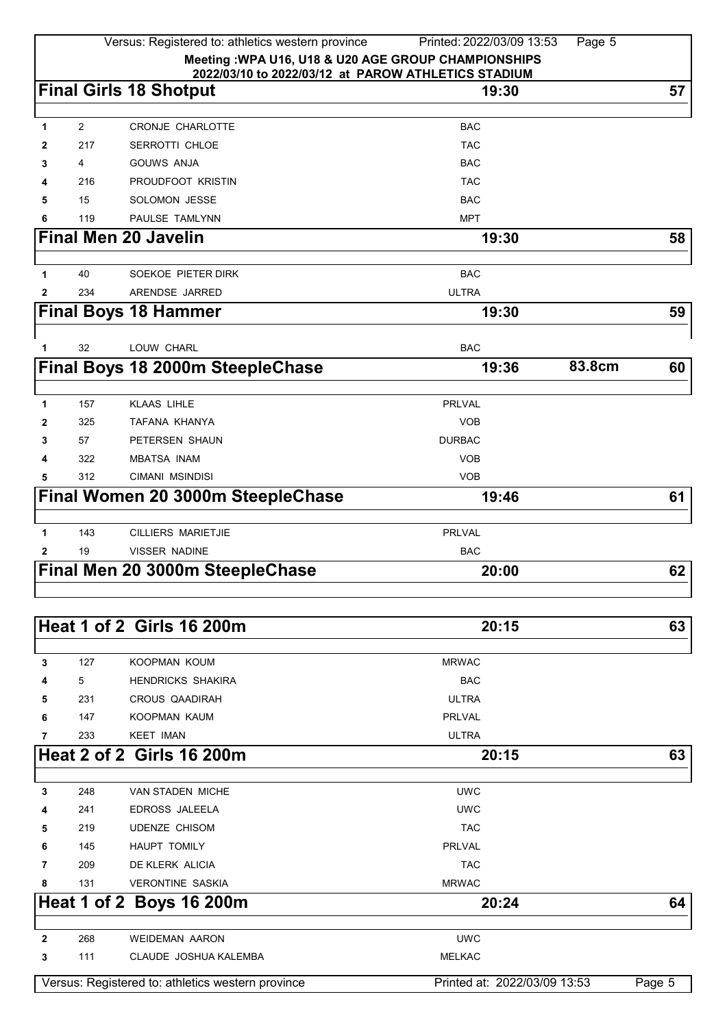| 2022/03/10 to 2022/03/12 at PAROW ATHLETICS STADIUM<br><b>Final Girls 18 Shotput</b><br>57<br>19:30<br>CRONJE CHARLOTTE<br><b>BAC</b><br>$\overline{2}$<br>1<br>217<br>SERROTTI CHLOE<br><b>TAC</b><br>2<br><b>GOUWS ANJA</b><br><b>BAC</b><br>4<br>3<br>PROUDFOOT KRISTIN<br><b>TAC</b><br>216<br>4<br>15<br>SOLOMON JESSE<br><b>BAC</b><br>5<br>PAULSE TAMLYNN<br>119<br><b>MPT</b><br>6<br><b>Final Men 20 Javelin</b><br>19:30<br>58<br>SOEKOE PIETER DIRK<br><b>BAC</b><br>40<br>1<br>234<br>ARENDSE JARRED<br><b>ULTRA</b><br>2<br><b>Final Boys 18 Hammer</b><br>19:30<br>59<br>32<br>LOUW CHARL<br><b>BAC</b><br>1<br>83.8cm<br>Final Boys 18 2000m SteepleChase<br>19:36<br>60<br>157<br><b>KLAAS LIHLE</b><br><b>PRLVAL</b><br>1<br>TAFANA KHANYA<br><b>VOB</b><br>325<br>2<br>57<br>PETERSEN SHAUN<br><b>DURBAC</b><br>3<br><b>VOB</b><br>322<br><b>MBATSA INAM</b><br>4<br><b>VOB</b><br>312<br>CIMANI MSINDISI<br>5<br>Final Women 20 3000m SteepleChase<br>19:46<br>61<br>143<br><b>PRLVAL</b><br><b>CILLIERS MARIETJIE</b><br>1<br>VISSER NADINE<br><b>BAC</b><br>19<br>2<br>Final Men 20 3000m SteepleChase<br>62<br>20:00<br><b>Heat 1 of 2 Girls 16 200m</b><br>20:15<br>63<br>127<br>3<br>KOOPMAN KOUM<br><b>MRWAC</b><br>5<br><b>BAC</b><br><b>HENDRICKS SHAKIRA</b><br>4<br><b>ULTRA</b><br>231<br>CROUS QAADIRAH<br>5<br>147<br><b>PRLVAL</b><br>KOOPMAN KAUM<br>6<br>233<br><b>KEET IMAN</b><br><b>ULTRA</b><br>7<br><b>Heat 2 of 2 Girls 16 200m</b><br>63<br>20:15<br><b>VAN STADEN MICHE</b><br><b>UWC</b><br>3<br>248<br>241<br>EDROSS JALEELA<br><b>UWC</b><br>4<br><b>TAC</b><br>219<br><b>UDENZE CHISOM</b><br>5<br><b>PRLVAL</b><br>145<br><b>HAUPT TOMILY</b><br>6<br><b>TAC</b><br>7<br>209<br>DE KLERK ALICIA<br>131<br><b>VERONTINE SASKIA</b><br><b>MRWAC</b><br>8<br>Heat 1 of 2 Boys 16 200m<br>20:24<br>64<br><b>UWC</b><br>268<br><b>WEIDEMAN AARON</b><br>2<br>111<br><b>MELKAC</b><br>3<br>CLAUDE JOSHUA KALEMBA<br>Versus: Registered to: athletics western province<br>Printed at: 2022/03/09 13:53<br>Page 5 |                                                      | Versus: Registered to: athletics western province<br>Printed: 2022/03/09 13:53<br>Page 5 |  |  |  |  |  |
|-----------------------------------------------------------------------------------------------------------------------------------------------------------------------------------------------------------------------------------------------------------------------------------------------------------------------------------------------------------------------------------------------------------------------------------------------------------------------------------------------------------------------------------------------------------------------------------------------------------------------------------------------------------------------------------------------------------------------------------------------------------------------------------------------------------------------------------------------------------------------------------------------------------------------------------------------------------------------------------------------------------------------------------------------------------------------------------------------------------------------------------------------------------------------------------------------------------------------------------------------------------------------------------------------------------------------------------------------------------------------------------------------------------------------------------------------------------------------------------------------------------------------------------------------------------------------------------------------------------------------------------------------------------------------------------------------------------------------------------------------------------------------------------------------------------------------------------------------------------------------------------------------------------------------------------------------------------------------------------------------------------------------------------------------------------|------------------------------------------------------|------------------------------------------------------------------------------------------|--|--|--|--|--|
|                                                                                                                                                                                                                                                                                                                                                                                                                                                                                                                                                                                                                                                                                                                                                                                                                                                                                                                                                                                                                                                                                                                                                                                                                                                                                                                                                                                                                                                                                                                                                                                                                                                                                                                                                                                                                                                                                                                                                                                                                                                           | Meeting : WPA U16, U18 & U20 AGE GROUP CHAMPIONSHIPS |                                                                                          |  |  |  |  |  |
|                                                                                                                                                                                                                                                                                                                                                                                                                                                                                                                                                                                                                                                                                                                                                                                                                                                                                                                                                                                                                                                                                                                                                                                                                                                                                                                                                                                                                                                                                                                                                                                                                                                                                                                                                                                                                                                                                                                                                                                                                                                           |                                                      |                                                                                          |  |  |  |  |  |
|                                                                                                                                                                                                                                                                                                                                                                                                                                                                                                                                                                                                                                                                                                                                                                                                                                                                                                                                                                                                                                                                                                                                                                                                                                                                                                                                                                                                                                                                                                                                                                                                                                                                                                                                                                                                                                                                                                                                                                                                                                                           |                                                      |                                                                                          |  |  |  |  |  |
|                                                                                                                                                                                                                                                                                                                                                                                                                                                                                                                                                                                                                                                                                                                                                                                                                                                                                                                                                                                                                                                                                                                                                                                                                                                                                                                                                                                                                                                                                                                                                                                                                                                                                                                                                                                                                                                                                                                                                                                                                                                           |                                                      |                                                                                          |  |  |  |  |  |
|                                                                                                                                                                                                                                                                                                                                                                                                                                                                                                                                                                                                                                                                                                                                                                                                                                                                                                                                                                                                                                                                                                                                                                                                                                                                                                                                                                                                                                                                                                                                                                                                                                                                                                                                                                                                                                                                                                                                                                                                                                                           |                                                      |                                                                                          |  |  |  |  |  |
|                                                                                                                                                                                                                                                                                                                                                                                                                                                                                                                                                                                                                                                                                                                                                                                                                                                                                                                                                                                                                                                                                                                                                                                                                                                                                                                                                                                                                                                                                                                                                                                                                                                                                                                                                                                                                                                                                                                                                                                                                                                           |                                                      |                                                                                          |  |  |  |  |  |
|                                                                                                                                                                                                                                                                                                                                                                                                                                                                                                                                                                                                                                                                                                                                                                                                                                                                                                                                                                                                                                                                                                                                                                                                                                                                                                                                                                                                                                                                                                                                                                                                                                                                                                                                                                                                                                                                                                                                                                                                                                                           |                                                      |                                                                                          |  |  |  |  |  |
|                                                                                                                                                                                                                                                                                                                                                                                                                                                                                                                                                                                                                                                                                                                                                                                                                                                                                                                                                                                                                                                                                                                                                                                                                                                                                                                                                                                                                                                                                                                                                                                                                                                                                                                                                                                                                                                                                                                                                                                                                                                           |                                                      |                                                                                          |  |  |  |  |  |
|                                                                                                                                                                                                                                                                                                                                                                                                                                                                                                                                                                                                                                                                                                                                                                                                                                                                                                                                                                                                                                                                                                                                                                                                                                                                                                                                                                                                                                                                                                                                                                                                                                                                                                                                                                                                                                                                                                                                                                                                                                                           |                                                      |                                                                                          |  |  |  |  |  |
|                                                                                                                                                                                                                                                                                                                                                                                                                                                                                                                                                                                                                                                                                                                                                                                                                                                                                                                                                                                                                                                                                                                                                                                                                                                                                                                                                                                                                                                                                                                                                                                                                                                                                                                                                                                                                                                                                                                                                                                                                                                           |                                                      |                                                                                          |  |  |  |  |  |
|                                                                                                                                                                                                                                                                                                                                                                                                                                                                                                                                                                                                                                                                                                                                                                                                                                                                                                                                                                                                                                                                                                                                                                                                                                                                                                                                                                                                                                                                                                                                                                                                                                                                                                                                                                                                                                                                                                                                                                                                                                                           |                                                      |                                                                                          |  |  |  |  |  |
|                                                                                                                                                                                                                                                                                                                                                                                                                                                                                                                                                                                                                                                                                                                                                                                                                                                                                                                                                                                                                                                                                                                                                                                                                                                                                                                                                                                                                                                                                                                                                                                                                                                                                                                                                                                                                                                                                                                                                                                                                                                           |                                                      |                                                                                          |  |  |  |  |  |
|                                                                                                                                                                                                                                                                                                                                                                                                                                                                                                                                                                                                                                                                                                                                                                                                                                                                                                                                                                                                                                                                                                                                                                                                                                                                                                                                                                                                                                                                                                                                                                                                                                                                                                                                                                                                                                                                                                                                                                                                                                                           |                                                      |                                                                                          |  |  |  |  |  |
|                                                                                                                                                                                                                                                                                                                                                                                                                                                                                                                                                                                                                                                                                                                                                                                                                                                                                                                                                                                                                                                                                                                                                                                                                                                                                                                                                                                                                                                                                                                                                                                                                                                                                                                                                                                                                                                                                                                                                                                                                                                           |                                                      |                                                                                          |  |  |  |  |  |
|                                                                                                                                                                                                                                                                                                                                                                                                                                                                                                                                                                                                                                                                                                                                                                                                                                                                                                                                                                                                                                                                                                                                                                                                                                                                                                                                                                                                                                                                                                                                                                                                                                                                                                                                                                                                                                                                                                                                                                                                                                                           |                                                      |                                                                                          |  |  |  |  |  |
|                                                                                                                                                                                                                                                                                                                                                                                                                                                                                                                                                                                                                                                                                                                                                                                                                                                                                                                                                                                                                                                                                                                                                                                                                                                                                                                                                                                                                                                                                                                                                                                                                                                                                                                                                                                                                                                                                                                                                                                                                                                           |                                                      |                                                                                          |  |  |  |  |  |
|                                                                                                                                                                                                                                                                                                                                                                                                                                                                                                                                                                                                                                                                                                                                                                                                                                                                                                                                                                                                                                                                                                                                                                                                                                                                                                                                                                                                                                                                                                                                                                                                                                                                                                                                                                                                                                                                                                                                                                                                                                                           |                                                      |                                                                                          |  |  |  |  |  |
|                                                                                                                                                                                                                                                                                                                                                                                                                                                                                                                                                                                                                                                                                                                                                                                                                                                                                                                                                                                                                                                                                                                                                                                                                                                                                                                                                                                                                                                                                                                                                                                                                                                                                                                                                                                                                                                                                                                                                                                                                                                           |                                                      |                                                                                          |  |  |  |  |  |
|                                                                                                                                                                                                                                                                                                                                                                                                                                                                                                                                                                                                                                                                                                                                                                                                                                                                                                                                                                                                                                                                                                                                                                                                                                                                                                                                                                                                                                                                                                                                                                                                                                                                                                                                                                                                                                                                                                                                                                                                                                                           |                                                      |                                                                                          |  |  |  |  |  |
|                                                                                                                                                                                                                                                                                                                                                                                                                                                                                                                                                                                                                                                                                                                                                                                                                                                                                                                                                                                                                                                                                                                                                                                                                                                                                                                                                                                                                                                                                                                                                                                                                                                                                                                                                                                                                                                                                                                                                                                                                                                           |                                                      |                                                                                          |  |  |  |  |  |
|                                                                                                                                                                                                                                                                                                                                                                                                                                                                                                                                                                                                                                                                                                                                                                                                                                                                                                                                                                                                                                                                                                                                                                                                                                                                                                                                                                                                                                                                                                                                                                                                                                                                                                                                                                                                                                                                                                                                                                                                                                                           |                                                      |                                                                                          |  |  |  |  |  |
|                                                                                                                                                                                                                                                                                                                                                                                                                                                                                                                                                                                                                                                                                                                                                                                                                                                                                                                                                                                                                                                                                                                                                                                                                                                                                                                                                                                                                                                                                                                                                                                                                                                                                                                                                                                                                                                                                                                                                                                                                                                           |                                                      |                                                                                          |  |  |  |  |  |
|                                                                                                                                                                                                                                                                                                                                                                                                                                                                                                                                                                                                                                                                                                                                                                                                                                                                                                                                                                                                                                                                                                                                                                                                                                                                                                                                                                                                                                                                                                                                                                                                                                                                                                                                                                                                                                                                                                                                                                                                                                                           |                                                      |                                                                                          |  |  |  |  |  |
|                                                                                                                                                                                                                                                                                                                                                                                                                                                                                                                                                                                                                                                                                                                                                                                                                                                                                                                                                                                                                                                                                                                                                                                                                                                                                                                                                                                                                                                                                                                                                                                                                                                                                                                                                                                                                                                                                                                                                                                                                                                           |                                                      |                                                                                          |  |  |  |  |  |
|                                                                                                                                                                                                                                                                                                                                                                                                                                                                                                                                                                                                                                                                                                                                                                                                                                                                                                                                                                                                                                                                                                                                                                                                                                                                                                                                                                                                                                                                                                                                                                                                                                                                                                                                                                                                                                                                                                                                                                                                                                                           |                                                      |                                                                                          |  |  |  |  |  |
|                                                                                                                                                                                                                                                                                                                                                                                                                                                                                                                                                                                                                                                                                                                                                                                                                                                                                                                                                                                                                                                                                                                                                                                                                                                                                                                                                                                                                                                                                                                                                                                                                                                                                                                                                                                                                                                                                                                                                                                                                                                           |                                                      |                                                                                          |  |  |  |  |  |
|                                                                                                                                                                                                                                                                                                                                                                                                                                                                                                                                                                                                                                                                                                                                                                                                                                                                                                                                                                                                                                                                                                                                                                                                                                                                                                                                                                                                                                                                                                                                                                                                                                                                                                                                                                                                                                                                                                                                                                                                                                                           |                                                      |                                                                                          |  |  |  |  |  |
|                                                                                                                                                                                                                                                                                                                                                                                                                                                                                                                                                                                                                                                                                                                                                                                                                                                                                                                                                                                                                                                                                                                                                                                                                                                                                                                                                                                                                                                                                                                                                                                                                                                                                                                                                                                                                                                                                                                                                                                                                                                           |                                                      |                                                                                          |  |  |  |  |  |
|                                                                                                                                                                                                                                                                                                                                                                                                                                                                                                                                                                                                                                                                                                                                                                                                                                                                                                                                                                                                                                                                                                                                                                                                                                                                                                                                                                                                                                                                                                                                                                                                                                                                                                                                                                                                                                                                                                                                                                                                                                                           |                                                      |                                                                                          |  |  |  |  |  |
|                                                                                                                                                                                                                                                                                                                                                                                                                                                                                                                                                                                                                                                                                                                                                                                                                                                                                                                                                                                                                                                                                                                                                                                                                                                                                                                                                                                                                                                                                                                                                                                                                                                                                                                                                                                                                                                                                                                                                                                                                                                           |                                                      |                                                                                          |  |  |  |  |  |
|                                                                                                                                                                                                                                                                                                                                                                                                                                                                                                                                                                                                                                                                                                                                                                                                                                                                                                                                                                                                                                                                                                                                                                                                                                                                                                                                                                                                                                                                                                                                                                                                                                                                                                                                                                                                                                                                                                                                                                                                                                                           |                                                      |                                                                                          |  |  |  |  |  |
|                                                                                                                                                                                                                                                                                                                                                                                                                                                                                                                                                                                                                                                                                                                                                                                                                                                                                                                                                                                                                                                                                                                                                                                                                                                                                                                                                                                                                                                                                                                                                                                                                                                                                                                                                                                                                                                                                                                                                                                                                                                           |                                                      |                                                                                          |  |  |  |  |  |
|                                                                                                                                                                                                                                                                                                                                                                                                                                                                                                                                                                                                                                                                                                                                                                                                                                                                                                                                                                                                                                                                                                                                                                                                                                                                                                                                                                                                                                                                                                                                                                                                                                                                                                                                                                                                                                                                                                                                                                                                                                                           |                                                      |                                                                                          |  |  |  |  |  |
|                                                                                                                                                                                                                                                                                                                                                                                                                                                                                                                                                                                                                                                                                                                                                                                                                                                                                                                                                                                                                                                                                                                                                                                                                                                                                                                                                                                                                                                                                                                                                                                                                                                                                                                                                                                                                                                                                                                                                                                                                                                           |                                                      |                                                                                          |  |  |  |  |  |
|                                                                                                                                                                                                                                                                                                                                                                                                                                                                                                                                                                                                                                                                                                                                                                                                                                                                                                                                                                                                                                                                                                                                                                                                                                                                                                                                                                                                                                                                                                                                                                                                                                                                                                                                                                                                                                                                                                                                                                                                                                                           |                                                      |                                                                                          |  |  |  |  |  |
|                                                                                                                                                                                                                                                                                                                                                                                                                                                                                                                                                                                                                                                                                                                                                                                                                                                                                                                                                                                                                                                                                                                                                                                                                                                                                                                                                                                                                                                                                                                                                                                                                                                                                                                                                                                                                                                                                                                                                                                                                                                           |                                                      |                                                                                          |  |  |  |  |  |
|                                                                                                                                                                                                                                                                                                                                                                                                                                                                                                                                                                                                                                                                                                                                                                                                                                                                                                                                                                                                                                                                                                                                                                                                                                                                                                                                                                                                                                                                                                                                                                                                                                                                                                                                                                                                                                                                                                                                                                                                                                                           |                                                      |                                                                                          |  |  |  |  |  |
|                                                                                                                                                                                                                                                                                                                                                                                                                                                                                                                                                                                                                                                                                                                                                                                                                                                                                                                                                                                                                                                                                                                                                                                                                                                                                                                                                                                                                                                                                                                                                                                                                                                                                                                                                                                                                                                                                                                                                                                                                                                           |                                                      |                                                                                          |  |  |  |  |  |
|                                                                                                                                                                                                                                                                                                                                                                                                                                                                                                                                                                                                                                                                                                                                                                                                                                                                                                                                                                                                                                                                                                                                                                                                                                                                                                                                                                                                                                                                                                                                                                                                                                                                                                                                                                                                                                                                                                                                                                                                                                                           |                                                      |                                                                                          |  |  |  |  |  |
|                                                                                                                                                                                                                                                                                                                                                                                                                                                                                                                                                                                                                                                                                                                                                                                                                                                                                                                                                                                                                                                                                                                                                                                                                                                                                                                                                                                                                                                                                                                                                                                                                                                                                                                                                                                                                                                                                                                                                                                                                                                           |                                                      |                                                                                          |  |  |  |  |  |
|                                                                                                                                                                                                                                                                                                                                                                                                                                                                                                                                                                                                                                                                                                                                                                                                                                                                                                                                                                                                                                                                                                                                                                                                                                                                                                                                                                                                                                                                                                                                                                                                                                                                                                                                                                                                                                                                                                                                                                                                                                                           |                                                      |                                                                                          |  |  |  |  |  |
|                                                                                                                                                                                                                                                                                                                                                                                                                                                                                                                                                                                                                                                                                                                                                                                                                                                                                                                                                                                                                                                                                                                                                                                                                                                                                                                                                                                                                                                                                                                                                                                                                                                                                                                                                                                                                                                                                                                                                                                                                                                           |                                                      |                                                                                          |  |  |  |  |  |
|                                                                                                                                                                                                                                                                                                                                                                                                                                                                                                                                                                                                                                                                                                                                                                                                                                                                                                                                                                                                                                                                                                                                                                                                                                                                                                                                                                                                                                                                                                                                                                                                                                                                                                                                                                                                                                                                                                                                                                                                                                                           |                                                      |                                                                                          |  |  |  |  |  |
|                                                                                                                                                                                                                                                                                                                                                                                                                                                                                                                                                                                                                                                                                                                                                                                                                                                                                                                                                                                                                                                                                                                                                                                                                                                                                                                                                                                                                                                                                                                                                                                                                                                                                                                                                                                                                                                                                                                                                                                                                                                           |                                                      |                                                                                          |  |  |  |  |  |
|                                                                                                                                                                                                                                                                                                                                                                                                                                                                                                                                                                                                                                                                                                                                                                                                                                                                                                                                                                                                                                                                                                                                                                                                                                                                                                                                                                                                                                                                                                                                                                                                                                                                                                                                                                                                                                                                                                                                                                                                                                                           |                                                      |                                                                                          |  |  |  |  |  |
|                                                                                                                                                                                                                                                                                                                                                                                                                                                                                                                                                                                                                                                                                                                                                                                                                                                                                                                                                                                                                                                                                                                                                                                                                                                                                                                                                                                                                                                                                                                                                                                                                                                                                                                                                                                                                                                                                                                                                                                                                                                           |                                                      |                                                                                          |  |  |  |  |  |
|                                                                                                                                                                                                                                                                                                                                                                                                                                                                                                                                                                                                                                                                                                                                                                                                                                                                                                                                                                                                                                                                                                                                                                                                                                                                                                                                                                                                                                                                                                                                                                                                                                                                                                                                                                                                                                                                                                                                                                                                                                                           |                                                      |                                                                                          |  |  |  |  |  |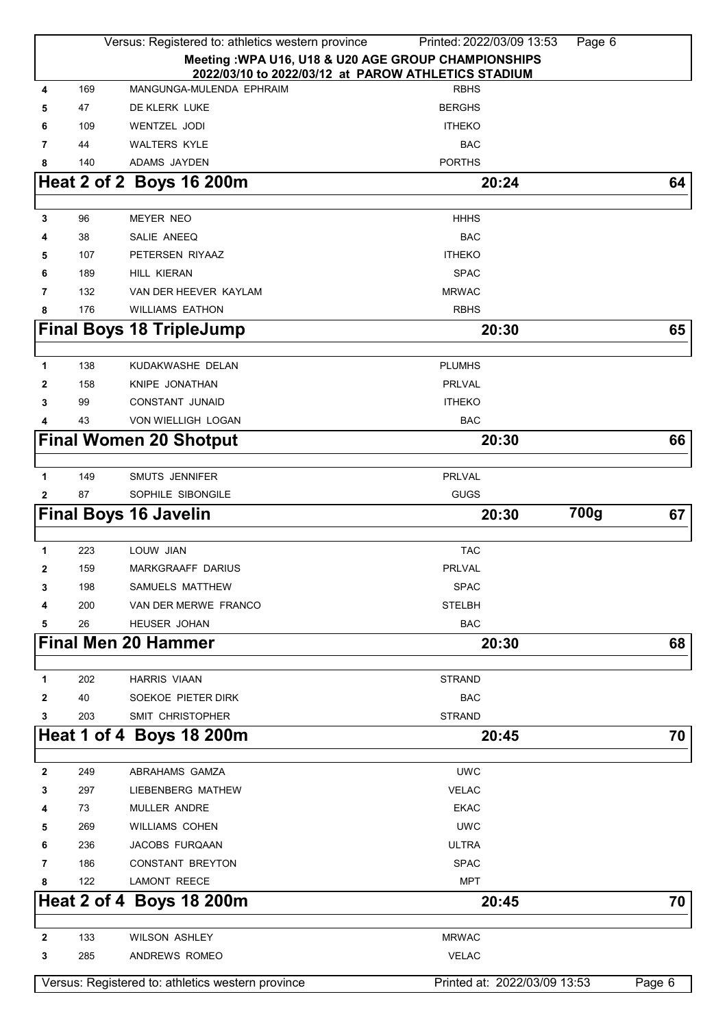|              |           | Versus: Registered to: athletics western province | Printed: 2022/03/09 13:53<br>Page 6                  |        |
|--------------|-----------|---------------------------------------------------|------------------------------------------------------|--------|
|              |           |                                                   | Meeting : WPA U16, U18 & U20 AGE GROUP CHAMPIONSHIPS |        |
|              |           |                                                   | 2022/03/10 to 2022/03/12 at PAROW ATHLETICS STADIUM  |        |
| 4            | 169       | MANGUNGA-MULENDA EPHRAIM                          | <b>RBHS</b>                                          |        |
| 5            | 47        | DE KLERK LUKE                                     | <b>BERGHS</b>                                        |        |
| 6            | 109       | <b>WENTZEL JODI</b>                               | <b>ITHEKO</b>                                        |        |
| 7            | 44        | <b>WALTERS KYLE</b>                               | <b>BAC</b>                                           |        |
| 8            | 140       | ADAMS JAYDEN                                      | <b>PORTHS</b>                                        |        |
|              |           | Heat 2 of 2 Boys 16 200m                          | 20:24                                                | 64     |
|              |           |                                                   |                                                      |        |
| 3            | 96        | MEYER NEO                                         | <b>HHHS</b>                                          |        |
|              | 38        | SALIE ANEEQ                                       | <b>BAC</b>                                           |        |
| 5            | 107       | PETERSEN RIYAAZ                                   | <b>ITHEKO</b>                                        |        |
| 6            | 189       | HILL KIERAN                                       | <b>SPAC</b><br><b>MRWAC</b>                          |        |
| 7            | 132       | VAN DER HEEVER KAYLAM                             |                                                      |        |
| 8            | 176       | <b>WILLIAMS EATHON</b>                            | <b>RBHS</b>                                          |        |
|              |           | <b>Final Boys 18 TripleJump</b>                   | 20:30                                                | 65     |
|              | 138       | KUDAKWASHE DELAN                                  | <b>PLUMHS</b>                                        |        |
| 1            |           |                                                   | <b>PRLVAL</b>                                        |        |
| 2            | 158<br>99 | KNIPE JONATHAN<br><b>CONSTANT JUNAID</b>          | <b>ITHEKO</b>                                        |        |
| 3<br>4       | 43        | VON WIELLIGH LOGAN                                | <b>BAC</b>                                           |        |
|              |           |                                                   |                                                      |        |
|              |           | <b>Final Women 20 Shotput</b>                     | 20:30                                                | 66     |
| $\mathbf{1}$ | 149       | <b>SMUTS JENNIFER</b>                             | <b>PRLVAL</b>                                        |        |
|              | 87        | SOPHILE SIBONGILE                                 | <b>GUGS</b>                                          |        |
| 2            |           |                                                   | 700g                                                 |        |
|              |           | <b>Final Boys 16 Javelin</b>                      | 20:30                                                | 67     |
| 1            | 223       | LOUW JIAN                                         | <b>TAC</b>                                           |        |
| 2            | 159       | <b>MARKGRAAFF DARIUS</b>                          | PRLVAL                                               |        |
| 3            | 198       | SAMUELS MATTHEW                                   | <b>SPAC</b>                                          |        |
|              | 200       | VAN DER MERWE FRANCO                              | <b>STELBH</b>                                        |        |
| 5            | 26        | HEUSER JOHAN                                      | <b>BAC</b>                                           |        |
|              |           | <b>Final Men 20 Hammer</b>                        | 20:30                                                | 68     |
|              |           |                                                   |                                                      |        |
| 1            | 202       | <b>HARRIS VIAAN</b>                               | <b>STRAND</b>                                        |        |
| 2            | 40        | SOEKOE PIETER DIRK                                | <b>BAC</b>                                           |        |
| 3            | 203       | SMIT CHRISTOPHER                                  | <b>STRAND</b>                                        |        |
|              |           | Heat 1 of 4 Boys 18 200m                          | 20:45                                                | 70     |
|              |           |                                                   |                                                      |        |
| $\mathbf{2}$ | 249       | ABRAHAMS GAMZA                                    | <b>UWC</b>                                           |        |
| 3            | 297       | LIEBENBERG MATHEW                                 | <b>VELAC</b>                                         |        |
| 4            | 73        | MULLER ANDRE                                      | <b>EKAC</b>                                          |        |
| 5            | 269       | <b>WILLIAMS COHEN</b>                             | <b>UWC</b>                                           |        |
| 6            | 236       | JACOBS FURQAAN                                    | ULTRA                                                |        |
| 7            | 186       | CONSTANT BREYTON                                  | <b>SPAC</b>                                          |        |
| 8            | 122       | <b>LAMONT REECE</b>                               | <b>MPT</b>                                           |        |
|              |           | Heat 2 of 4 Boys 18 200m                          | 20:45                                                | 70     |
|              |           |                                                   |                                                      |        |
| 2            | 133       | <b>WILSON ASHLEY</b>                              | <b>MRWAC</b>                                         |        |
| 3            | 285       | ANDREWS ROMEO                                     | <b>VELAC</b>                                         |        |
|              |           |                                                   |                                                      |        |
|              |           | Versus: Registered to: athletics western province | Printed at: 2022/03/09 13:53                         | Page 6 |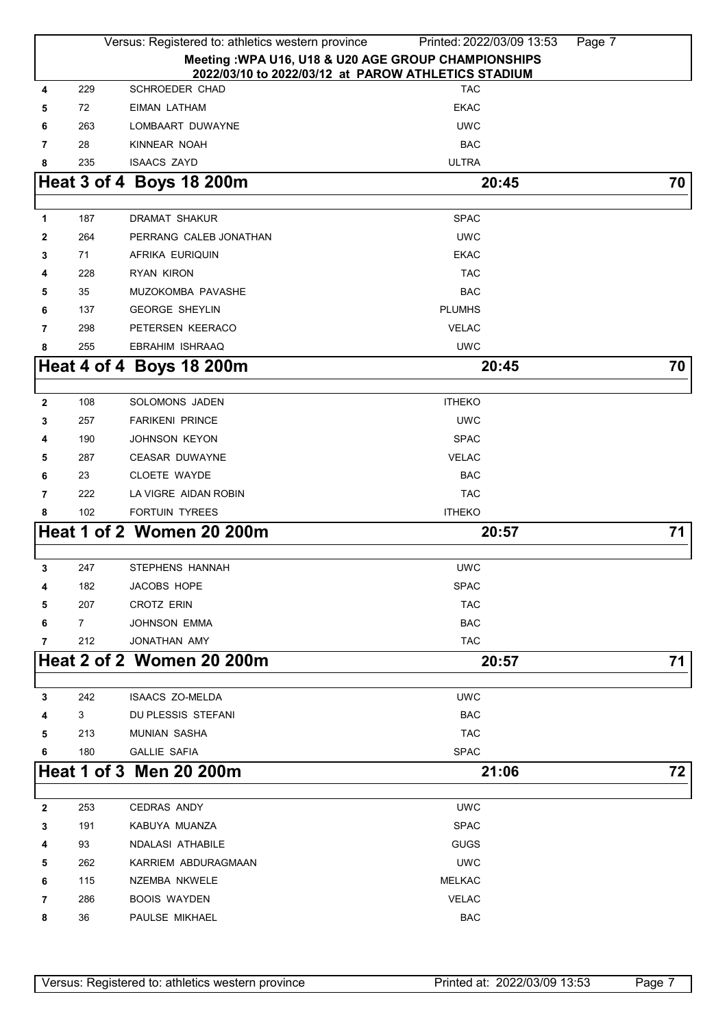|              |                                                                                            | Versus: Registered to: athletics western province | Printed: 2022/03/09 13:53 | Page 7 |  |  |  |
|--------------|--------------------------------------------------------------------------------------------|---------------------------------------------------|---------------------------|--------|--|--|--|
|              | Meeting : WPA U16, U18 & U20 AGE GROUP CHAMPIONSHIPS                                       |                                                   |                           |        |  |  |  |
| 4            | 2022/03/10 to 2022/03/12 at PAROW ATHLETICS STADIUM<br>SCHROEDER CHAD<br>229<br><b>TAC</b> |                                                   |                           |        |  |  |  |
| 5            | 72                                                                                         | EIMAN LATHAM                                      | <b>EKAC</b>               |        |  |  |  |
| 6            | 263                                                                                        | LOMBAART DUWAYNE                                  | <b>UWC</b>                |        |  |  |  |
| 7            | 28                                                                                         | KINNEAR NOAH                                      | <b>BAC</b>                |        |  |  |  |
| 8            | 235                                                                                        | <b>ISAACS ZAYD</b>                                | <b>ULTRA</b>              |        |  |  |  |
|              |                                                                                            | Heat 3 of 4 Boys 18 200m                          | 20:45                     | 70     |  |  |  |
|              |                                                                                            |                                                   |                           |        |  |  |  |
| 1            | 187                                                                                        | <b>DRAMAT SHAKUR</b>                              | <b>SPAC</b>               |        |  |  |  |
| 2            | 264                                                                                        | PERRANG CALEB JONATHAN                            | <b>UWC</b>                |        |  |  |  |
| 3            | 71                                                                                         | AFRIKA EURIQUIN                                   | <b>EKAC</b>               |        |  |  |  |
| 4            | 228                                                                                        | <b>RYAN KIRON</b>                                 | <b>TAC</b>                |        |  |  |  |
| 5            | 35                                                                                         | MUZOKOMBA PAVASHE                                 | <b>BAC</b>                |        |  |  |  |
| 6            | 137                                                                                        | <b>GEORGE SHEYLIN</b>                             | <b>PLUMHS</b>             |        |  |  |  |
| 7            | 298                                                                                        | PETERSEN KEERACO                                  | <b>VELAC</b>              |        |  |  |  |
| 8            | 255                                                                                        | <b>EBRAHIM ISHRAAQ</b>                            | <b>UWC</b>                |        |  |  |  |
|              |                                                                                            | Heat 4 of 4 Boys 18 200m                          | 20:45                     | 70     |  |  |  |
|              |                                                                                            |                                                   |                           |        |  |  |  |
| $\mathbf{2}$ | 108                                                                                        | SOLOMONS JADEN                                    | <b>ITHEKO</b>             |        |  |  |  |
| 3            | 257                                                                                        | <b>FARIKENI PRINCE</b>                            | <b>UWC</b>                |        |  |  |  |
| 4            | 190                                                                                        | <b>JOHNSON KEYON</b>                              | <b>SPAC</b>               |        |  |  |  |
| 5            | 287                                                                                        | <b>CEASAR DUWAYNE</b>                             | <b>VELAC</b>              |        |  |  |  |
| 6            | 23                                                                                         | <b>CLOETE WAYDE</b>                               | <b>BAC</b>                |        |  |  |  |
| 7            | 222                                                                                        | LA VIGRE AIDAN ROBIN                              | <b>TAC</b>                |        |  |  |  |
| 8            | 102                                                                                        | <b>FORTUIN TYREES</b>                             | <b>ITHEKO</b>             |        |  |  |  |
|              |                                                                                            | <b>Heat 1 of 2 Women 20 200m</b>                  | 20:57                     | 71     |  |  |  |
|              |                                                                                            |                                                   |                           |        |  |  |  |
| 3            | 247                                                                                        | <b>STEPHENS HANNAH</b>                            | <b>UWC</b>                |        |  |  |  |
| 4            | 182                                                                                        | JACOBS HOPE                                       | <b>SPAC</b>               |        |  |  |  |
| 5            | 207                                                                                        | <b>CROTZ ERIN</b>                                 | <b>TAC</b>                |        |  |  |  |
| 6            | $\overline{7}$                                                                             | <b>JOHNSON EMMA</b>                               | <b>BAC</b>                |        |  |  |  |
| 7            | 212                                                                                        | JONATHAN AMY                                      | <b>TAC</b>                |        |  |  |  |
|              |                                                                                            | <b>Heat 2 of 2 Women 20 200m</b>                  | 20:57                     | 71     |  |  |  |
|              |                                                                                            |                                                   |                           |        |  |  |  |
| 3            | 242                                                                                        | <b>ISAACS ZO-MELDA</b>                            | <b>UWC</b>                |        |  |  |  |
| 4            | 3                                                                                          | <b>DU PLESSIS STEFANI</b>                         | <b>BAC</b>                |        |  |  |  |
| 5            | 213                                                                                        | <b>MUNIAN SASHA</b>                               | <b>TAC</b>                |        |  |  |  |
| 6            | 180                                                                                        | <b>GALLIE SAFIA</b>                               | <b>SPAC</b>               |        |  |  |  |
|              |                                                                                            | Heat 1 of 3 Men 20 200m                           | 21:06                     | 72     |  |  |  |
| $\mathbf 2$  | 253                                                                                        | <b>CEDRAS ANDY</b>                                | <b>UWC</b>                |        |  |  |  |
| 3            | 191                                                                                        | KABUYA MUANZA                                     | <b>SPAC</b>               |        |  |  |  |
| 4            | 93                                                                                         | <b>NDALASI ATHABILE</b>                           | <b>GUGS</b>               |        |  |  |  |
| 5            | 262                                                                                        | KARRIEM ABDURAGMAAN                               | <b>UWC</b>                |        |  |  |  |
| 6            | 115                                                                                        | NZEMBA NKWELE                                     | <b>MELKAC</b>             |        |  |  |  |
| 7            | 286                                                                                        | <b>BOOIS WAYDEN</b>                               | <b>VELAC</b>              |        |  |  |  |
| 8            | 36                                                                                         | PAULSE MIKHAEL                                    | <b>BAC</b>                |        |  |  |  |
|              |                                                                                            |                                                   |                           |        |  |  |  |